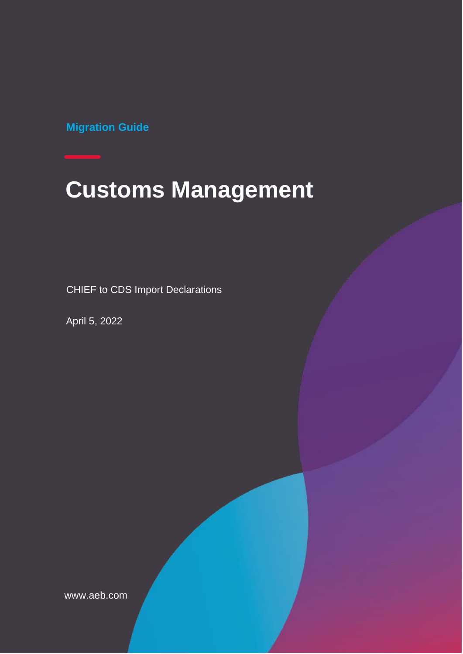**Migration Guide**

# **Customs Management**

CHIEF to CDS Import Declarations

April 5, 2022

www.aeb.com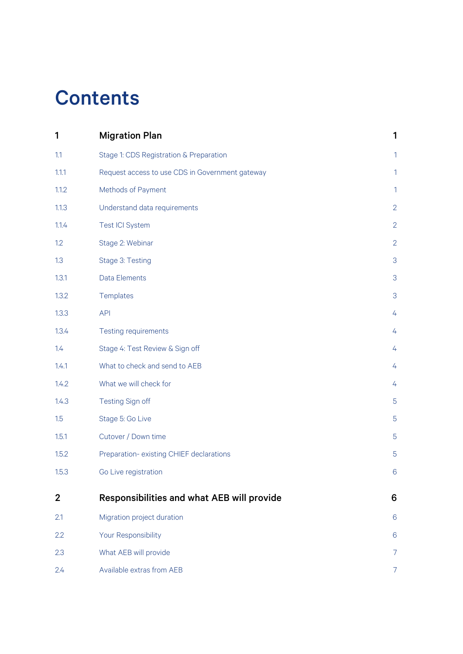## **Contents**

| 1              | <b>Migration Plan</b>                           | 1              |
|----------------|-------------------------------------------------|----------------|
| 1.1            | Stage 1: CDS Registration & Preparation         | 1              |
| 1.1.1          | Request access to use CDS in Government gateway | 1              |
| 1.1.2          | Methods of Payment                              | 1              |
| 1.1.3          | Understand data requirements                    | $\overline{2}$ |
| 1.1.4          | <b>Test ICI System</b>                          | $\overline{2}$ |
| 1.2            | Stage 2: Webinar                                | $\overline{2}$ |
| 1.3            | Stage 3: Testing                                | 3              |
| 1.3.1          | <b>Data Elements</b>                            | 3              |
| 1.3.2          | Templates                                       | 3              |
| 1.3.3          | <b>API</b>                                      | $\overline{4}$ |
| 1.3.4          | <b>Testing requirements</b>                     | 4              |
| 1.4            | Stage 4: Test Review & Sign off                 | 4              |
| 1.4.1          | What to check and send to AEB                   | 4              |
| 1.4.2          | What we will check for                          | 4              |
| 1.4.3          | Testing Sign off                                | 5              |
| 1.5            | Stage 5: Go Live                                | 5              |
| 1.5.1          | Cutover / Down time                             | 5              |
| 1.5.2          | Preparation-existing CHIEF declarations         | 5              |
| 1.5.3          | Go Live registration                            | 6              |
| $\overline{2}$ | Responsibilities and what AEB will provide      | 6              |
| 2.1            | Migration project duration                      | 6              |
| 2.2            | Your Responsibility                             | 6              |
| 2.3            | What AEB will provide                           | $\overline{7}$ |
| 2.4            | Available extras from AEB                       | $\overline{7}$ |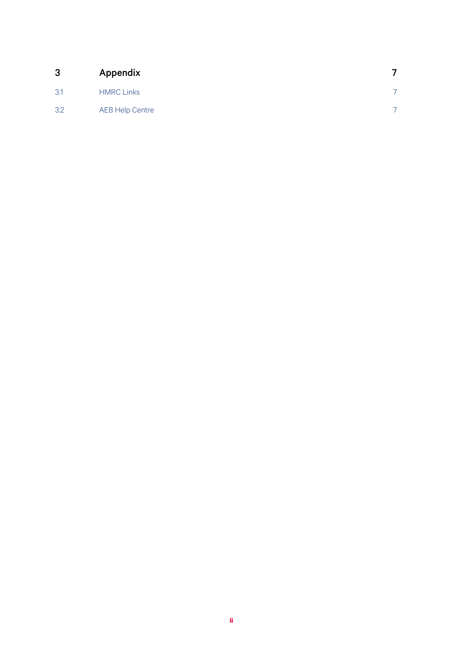| 3   | Appendix               |  |
|-----|------------------------|--|
| 3.1 | <b>HMRC Links</b>      |  |
| 3.2 | <b>AEB Help Centre</b> |  |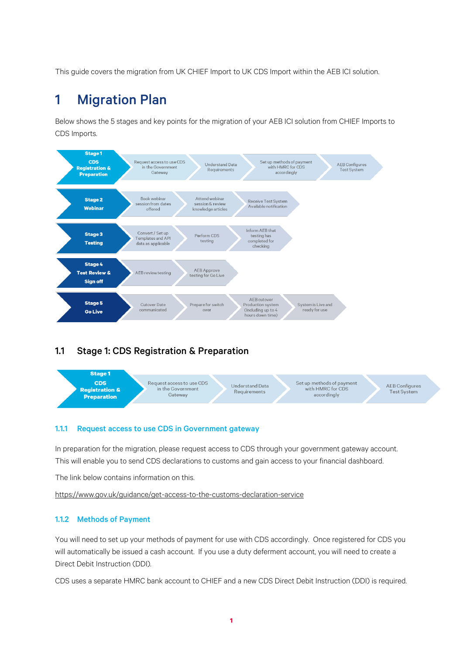This guide covers the migration from UK CHIEF Import to UK CDS Import within the AEB ICI solution.

## <span id="page-3-0"></span>1 Migration Plan

Below shows the 5 stages and key points for the migration of your AEB ICI solution from CHIEF Imports to CDS Imports.



#### <span id="page-3-1"></span>1.1 Stage 1: CDS Registration & Preparation



#### <span id="page-3-2"></span>1.1.1 Request access to use CDS in Government gateway

In preparation for the migration, please request access to CDS through your government gateway account. This will enable you to send CDS declarations to customs and gain access to your financial dashboard.

The link below contains information on this.

<https://www.gov.uk/guidance/get-access-to-the-customs-declaration-service>

#### <span id="page-3-3"></span>1.1.2 Methods of Payment

You will need to set up your methods of payment for use with CDS accordingly. Once registered for CDS you will automatically be issued a cash account. If you use a duty deferment account, you will need to create a Direct Debit Instruction (DDI).

CDS uses a separate HMRC bank account to CHIEF and a new CDS Direct Debit Instruction (DDI) is required.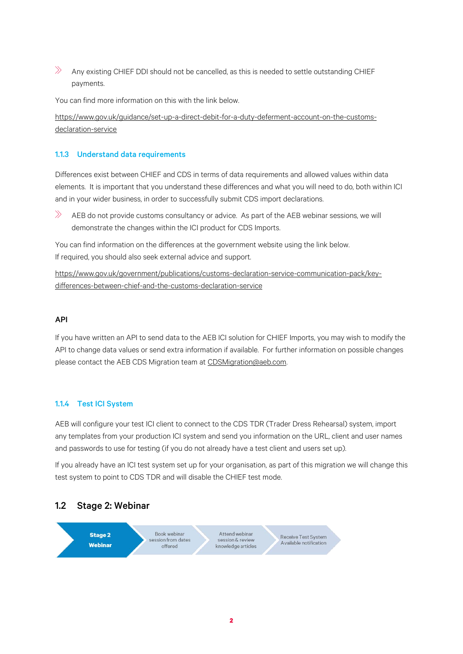$\gg$ Any existing CHIEF DDI should not be cancelled, as this is needed to settle outstanding CHIEF payments.

You can find more information on this with the link below.

[https://www.gov.uk/guidance/set-up-a-direct-debit-for-a-duty-deferment-account-on-the-customs](https://www.gov.uk/guidance/set-up-a-direct-debit-for-a-duty-deferment-account-on-the-customs-declaration-service)[declaration-service](https://www.gov.uk/guidance/set-up-a-direct-debit-for-a-duty-deferment-account-on-the-customs-declaration-service)

#### <span id="page-4-0"></span>1.1.3 Understand data requirements

Differences exist between CHIEF and CDS in terms of data requirements and allowed values within data elements. It is important that you understand these differences and what you will need to do, both within ICI and in your wider business, in order to successfully submit CDS import declarations.

 $\gg$ AEB do not provide customs consultancy or advice. As part of the AEB webinar sessions, we will demonstrate the changes within the ICI product for CDS Imports.

You can find information on the differences at the government website using the link below. If required, you should also seek external advice and support.

[https://www.gov.uk/government/publications/customs-declaration-service-communication-pack/key](https://www.gov.uk/government/publications/customs-declaration-service-communication-pack/key-differences-between-chief-and-the-customs-declaration-service)[differences-between-chief-and-the-customs-declaration-service](https://www.gov.uk/government/publications/customs-declaration-service-communication-pack/key-differences-between-chief-and-the-customs-declaration-service)

#### API

If you have written an API to send data to the AEB ICI solution for CHIEF Imports, you may wish to modify the API to change data values or send extra information if available. For further information on possible changes please contact the AEB CDS Migration team at [CDSMigration@aeb.com.](mailto:CDSMigration@aeb.com)

#### <span id="page-4-1"></span>1.1.4 Test ICI System

AEB will configure your test ICI client to connect to the CDS TDR (Trader Dress Rehearsal) system, import any templates from your production ICI system and send you information on the URL, client and user names and passwords to use for testing (if you do not already have a test client and users set up).

If you already have an ICI test system set up for your organisation, as part of this migration we will change this test system to point to CDS TDR and will disable the CHIEF test mode.

#### <span id="page-4-2"></span>1.2 Stage 2: Webinar

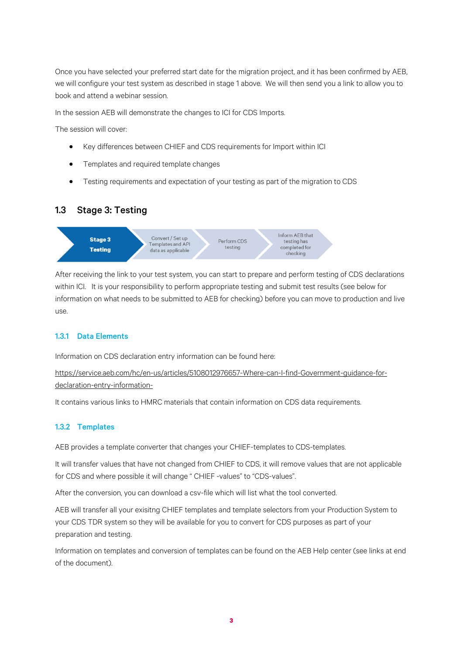Once you have selected your preferred start date for the migration project, and it has been confirmed by AEB, we will configure your test system as described in stage 1 above. We will then send you a link to allow you to book and attend a webinar session.

In the session AEB will demonstrate the changes to ICI for CDS Imports.

The session will cover:

- Key differences between CHIEF and CDS requirements for Import within ICI
- Templates and required template changes
- Testing requirements and expectation of your testing as part of the migration to CDS

#### <span id="page-5-0"></span>1.3 Stage 3: Testing



After receiving the link to your test system, you can start to prepare and perform testing of CDS declarations within ICI. It is your responsibility to perform appropriate testing and submit test results (see below for information on what needs to be submitted to AEB for checking) before you can move to production and live use.

#### <span id="page-5-1"></span>1.3.1 Data Elements

Information on CDS declaration entry information can be found here:

[https://service.aeb.com/hc/en-us/articles/5108012976657-Where-can-I-find-Government-guidance-for](https://service.aeb.com/hc/en-us/articles/5108012976657-Where-can-I-find-Government-guidance-for-declaration-entry-information-)[declaration-entry-information-](https://service.aeb.com/hc/en-us/articles/5108012976657-Where-can-I-find-Government-guidance-for-declaration-entry-information-)

It contains various links to HMRC materials that contain information on CDS data requirements.

#### <span id="page-5-2"></span>1.3.2 Templates

AEB provides a template converter that changes your CHIEF-templates to CDS-templates.

It will transfer values that have not changed from CHIEF to CDS, it will remove values that are not applicable for CDS and where possible it will change " CHIEF -values" to "CDS-values".

After the conversion, you can download a csv-file which will list what the tool converted.

AEB will transfer all your exisitng CHIEF templates and template selectors from your Production System to your CDS TDR system so they will be available for you to convert for CDS purposes as part of your preparation and testing.

Information on templates and conversion of templates can be found on the AEB Help center (see links at end of the document).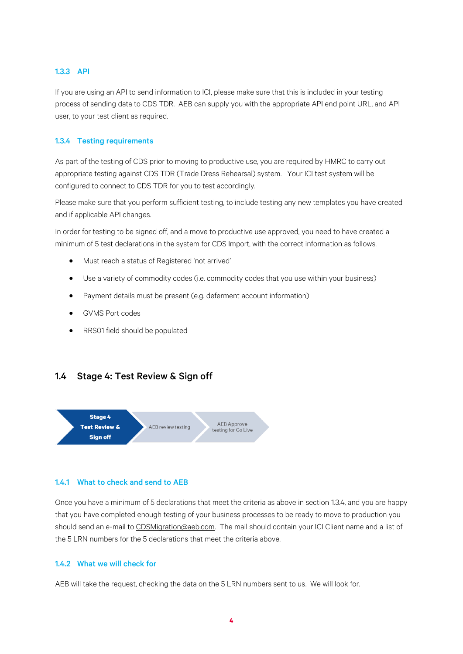#### <span id="page-6-0"></span>1.3.3 API

If you are using an API to send information to ICI, please make sure that this is included in your testing process of sending data to CDS TDR. AEB can supply you with the appropriate API end point URL, and API user, to your test client as required.

#### <span id="page-6-1"></span>1.3.4 Testing requirements

As part of the testing of CDS prior to moving to productive use, you are required by HMRC to carry out appropriate testing against CDS TDR (Trade Dress Rehearsal) system. Your ICI test system will be configured to connect to CDS TDR for you to test accordingly.

Please make sure that you perform sufficient testing, to include testing any new templates you have created and if applicable API changes.

In order for testing to be signed off, and a move to productive use approved, you need to have created a minimum of 5 test declarations in the system for CDS Import, with the correct information as follows.

- Must reach a status of Registered 'not arrived'
- Use a variety of commodity codes (i.e. commodity codes that you use within your business)
- Payment details must be present (e.g. deferment account information)
- GVMS Port codes
- RRS01 field should be populated

#### <span id="page-6-2"></span>1.4 Stage 4: Test Review & Sign off



#### <span id="page-6-3"></span>1.4.1 What to check and send to AEB

Once you have a minimum of 5 declarations that meet the criteria as above in section [1.3.4,](#page-6-1) and you are happy that you have completed enough testing of your business processes to be ready to move to production you should send an e-mail to [CDSMigration@aeb.com.](mailto:CDSMigration@aeb.com) The mail should contain your ICI Client name and a list of the 5 LRN numbers for the 5 declarations that meet the criteria above.

#### <span id="page-6-4"></span>1.4.2 What we will check for

AEB will take the request, checking the data on the 5 LRN numbers sent to us. We will look for.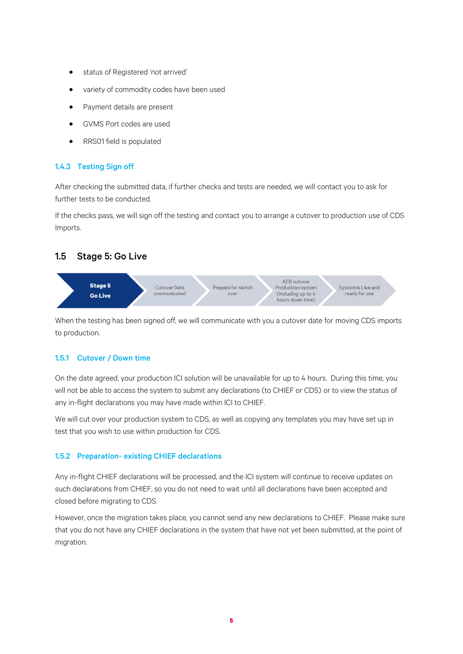- status of Registered 'not arrived'
- variety of commodity codes have been used
- Payment details are present
- GVMS Port codes are used
- RRS01 field is populated

#### <span id="page-7-0"></span>1.4.3 Testing Sign off

After checking the submitted data, if further checks and tests are needed, we will contact you to ask for further tests to be conducted.

If the checks pass, we will sign off the testing and contact you to arrange a cutover to production use of CDS Imports.

#### <span id="page-7-1"></span>1.5 Stage 5: Go Live



When the testing has been signed off, we will communicate with you a cutover date for moving CDS imports to production.

#### <span id="page-7-2"></span>1.5.1 Cutover / Down time

On the date agreed, your production ICI solution will be unavailable for up to 4 hours. During this time, you will not be able to access the system to submit any declarations (to CHIEF or CDS) or to view the status of any in-flight declarations you may have made within ICI to CHIEF.

We will cut over your production system to CDS, as well as copying any templates you may have set up in test that you wish to use within production for CDS.

#### <span id="page-7-3"></span>1.5.2 Preparation- existing CHIEF declarations

Any in-flight CHIEF declarations will be processed, and the ICI system will continue to receive updates on such declarations from CHIEF, so you do not need to wait until all declarations have been accepted and closed before migrating to CDS.

However, once the migration takes place, you cannot send any new declarations to CHIEF. Please make sure that you do not have any CHIEF declarations in the system that have not yet been submitted, at the point of migration.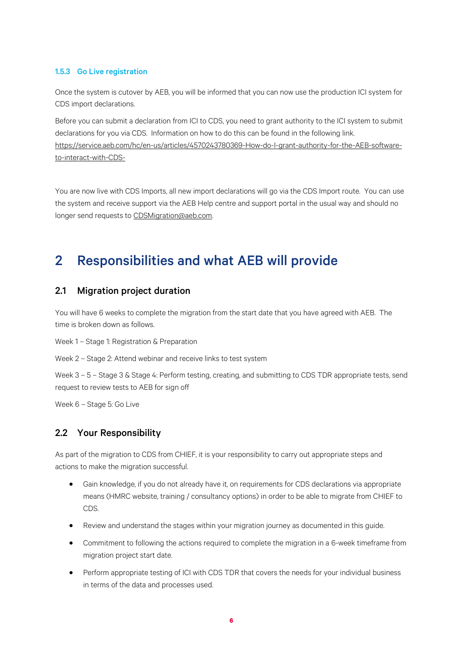#### <span id="page-8-0"></span>1.5.3 Go Live registration

Once the system is cutover by AEB, you will be informed that you can now use the production ICI system for CDS import declarations.

Before you can submit a declaration from ICI to CDS, you need to grant authority to the ICI system to submit declarations for you via CDS. Information on how to do this can be found in the following link. [https://service.aeb.com/hc/en-us/articles/4570243780369-How-do-I-grant-authority-for-the-AEB-software](https://service.aeb.com/hc/en-us/articles/4570243780369-How-do-I-grant-authority-for-the-AEB-software-to-interact-with-CDS-)[to-interact-with-CDS-](https://service.aeb.com/hc/en-us/articles/4570243780369-How-do-I-grant-authority-for-the-AEB-software-to-interact-with-CDS-)

You are now live with CDS Imports, all new import declarations will go via the CDS Import route. You can use the system and receive support via the AEB Help centre and support portal in the usual way and should no longer send requests t[o CDSMigration@aeb.com.](mailto:CDSMigration@aeb.com)

## <span id="page-8-1"></span>2 Responsibilities and what AEB will provide

#### <span id="page-8-2"></span>2.1 Migration project duration

You will have 6 weeks to complete the migration from the start date that you have agreed with AEB. The time is broken down as follows.

Week 1 – Stage 1: Registration & Preparation

Week 2 – Stage 2: Attend webinar and receive links to test system

Week 3 – 5 – Stage 3 & Stage 4: Perform testing, creating, and submitting to CDS TDR appropriate tests, send request to review tests to AEB for sign off

Week 6 – Stage 5: Go Live

#### <span id="page-8-3"></span>2.2 Your Responsibility

As part of the migration to CDS from CHIEF, it is your responsibility to carry out appropriate steps and actions to make the migration successful.

- Gain knowledge, if you do not already have it, on requirements for CDS declarations via appropriate means (HMRC website, training / consultancy options) in order to be able to migrate from CHIEF to CDS.
- Review and understand the stages within your migration journey as documented in this guide.
- Commitment to following the actions required to complete the migration in a 6-week timeframe from migration project start date.
- Perform appropriate testing of ICI with CDS TDR that covers the needs for your individual business in terms of the data and processes used.